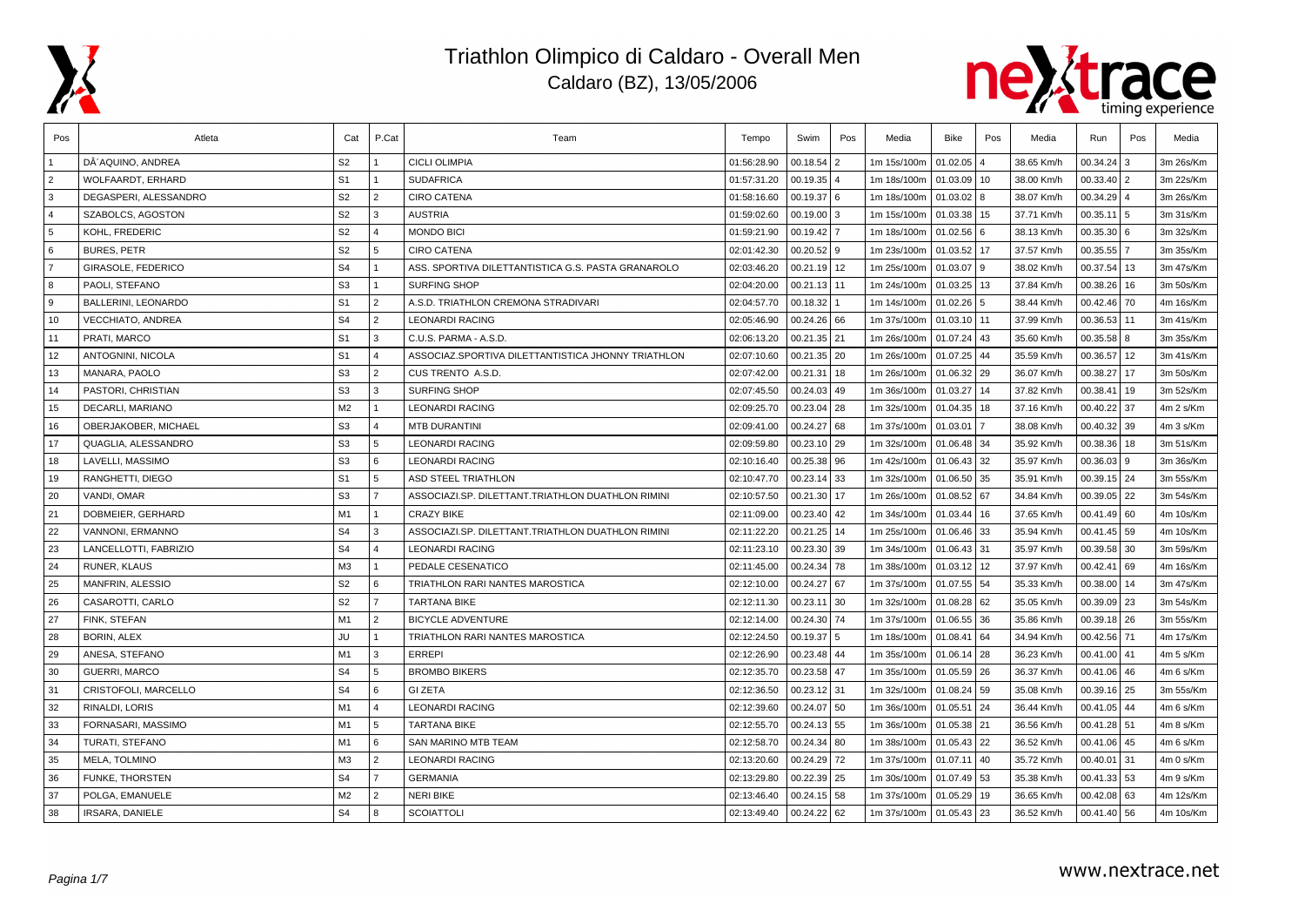



| Pos            | Atleta                     | Cat            | P.Cat          | Team                                               | Tempo       | Swim          | Pos | Media       | <b>Bike</b>   | Pos | Media      | Run           | Pos            | Media     |
|----------------|----------------------------|----------------|----------------|----------------------------------------------------|-------------|---------------|-----|-------------|---------------|-----|------------|---------------|----------------|-----------|
|                | DÂ'AQUINO. ANDREA          | S <sub>2</sub> |                | <b>CICLI OLIMPIA</b>                               | 01:56:28.90 | 00.18.54      | 2   | 1m 15s/100m | 01.02.05      |     | 38.65 Km/h | 00.34.24      | 3              | 3m 26s/Km |
| $\overline{2}$ | WOLFAARDT, ERHARD          | S <sub>1</sub> | $\overline{1}$ | <b>SUDAFRICA</b>                                   | 01:57:31.20 | 00.19.35      |     | 1m 18s/100m | 01.03.09 10   |     | 38.00 Km/h | 00.33.40      | $\overline{2}$ | 3m 22s/Km |
| 3              | DEGASPERI. ALESSANDRO      | S <sub>2</sub> | $\overline{2}$ | <b>CIRO CATENA</b>                                 | 01:58:16.60 | 00.19.37      | 6   | 1m 18s/100m | $01.03.02$ 8  |     | 38.07 Km/h | 00.34.29      | $\Delta$       | 3m 26s/Km |
| $\overline{4}$ | SZABOLCS, AGOSTON          | S <sub>2</sub> | 3              | <b>AUSTRIA</b>                                     | 01:59:02.60 | 00.19.00      | 3   | 1m 15s/100m | 01.03.38 15   |     | 37.71 Km/h | 00.35.11      | 5              | 3m 31s/Km |
| 5              | KOHL. FREDERIC             | S <sub>2</sub> | $\Delta$       | <b>MONDO BICI</b>                                  | 01:59:21.90 | 00.19.42      |     | 1m 18s/100m | 01.02.56 6    |     | 38.13 Km/h | 00.35.30      | l 6            | 3m 32s/Km |
| 6              | <b>BURES, PETR</b>         | S <sub>2</sub> | 5              | <b>CIRO CATENA</b>                                 | 02:01:42.30 | $00.20.52$ 9  |     | 1m 23s/100m | 01.03.52 17   |     | 37.57 Km/h | 00.35.55      | $\overline{7}$ | 3m 35s/Km |
| $\overline{7}$ | GIRASOLE, FEDERICO         | S <sub>4</sub> | $\overline{1}$ | ASS. SPORTIVA DILETTANTISTICA G.S. PASTA GRANAROLO | 02:03:46.20 | 00.21.19 12   |     | 1m 25s/100m | 01.03.07 9    |     | 38.02 Km/h | 00.37.54      | 13             | 3m 47s/Km |
| 8              | PAOLI, STEFANO             | S <sub>3</sub> | $\overline{1}$ | <b>SURFING SHOP</b>                                | 02:04:20.00 | 00.21.13      | 11  | 1m 24s/100m | $01.03.25$ 13 |     | 37.84 Km/h | 00.38.26      | 16             | 3m 50s/Km |
| <b>9</b>       | <b>BALLERINI, LEONARDO</b> | S <sub>1</sub> | $\overline{2}$ | A.S.D. TRIATHLON CREMONA STRADIVARI                | 02:04:57.70 | 00.18.32      |     | 1m 14s/100m | 01.02.26 5    |     | 38.44 Km/h | 00.42.46      | 70             | 4m 16s/Km |
| 10             | <b>VECCHIATO, ANDREA</b>   | S <sub>4</sub> | $\overline{2}$ | <b>LEONARDI RACING</b>                             | 02:05:46.90 | 00.24.26      | 66  | 1m 37s/100m | 01.03.10 11   |     | 37.99 Km/h | 00.36.53      | 11             | 3m 41s/Km |
| 11             | PRATI. MARCO               | S <sub>1</sub> | l 3            | C.U.S. PARMA - A.S.D.                              | 02:06:13.20 | 00.21.35 21   |     | 1m 26s/100m | 01.07.24 43   |     | 35.60 Km/h | 00.35.58      | l 8            | 3m 35s/Km |
| 12             | ANTOGNINI, NICOLA          | S <sub>1</sub> | $\overline{4}$ | ASSOCIAZ.SPORTIVA DILETTANTISTICA JHONNY TRIATHLON | 02:07:10.60 | $00.21.35$ 20 |     | 1m 26s/100m | 01.07.25 44   |     | 35.59 Km/h | 00.36.57      | 12             | 3m 41s/Km |
| 13             | MANARA, PAOLO              | S <sub>3</sub> | $\overline{2}$ | CUS TRENTO A.S.D.                                  | 02:07:42.00 | 00.21.31      | 18  | 1m 26s/100m | 01.06.32 29   |     | 36.07 Km/h | 00.38.27      | 17             | 3m 50s/Km |
| 14             | PASTORI, CHRISTIAN         | S <sub>3</sub> | 3              | <b>SURFING SHOP</b>                                | 02:07:45.50 | 00.24.03      | 49  | 1m 36s/100m | 01.03.27      | 14  | 37.82 Km/h | 00.38.41      | 19             | 3m 52s/Km |
| 15             | DECARLI, MARIANO           | M2             |                | <b>LEONARDI RACING</b>                             | 02:09:25.70 | 00.23.04      | 28  | 1m 32s/100m | 01.04.35 18   |     | 37.16 Km/h | 00.40.22      | 37             | 4m 2 s/Km |
| 16             | OBERJAKOBER, MICHAEL       | S <sub>3</sub> | $\overline{4}$ | <b>MTB DURANTINI</b>                               | 02:09:41.00 | 00.24.27      | 68  | 1m 37s/100m | 01.03.01      |     | 38.08 Km/h | 00.40.32      | 39             | 4m 3 s/Km |
| 17             | QUAGLIA, ALESSANDRO        | S <sub>3</sub> | l 5            | <b>LEONARDI RACING</b>                             | 02:09:59.80 | 00.23.10      | 29  | 1m 32s/100m | 01.06.48 34   |     | 35.92 Km/h | 00.38.36      | 18             | 3m 51s/Km |
| 18             | LAVELLI, MASSIMO           | S <sub>3</sub> | 6              | <b>LEONARDI RACING</b>                             | 02:10:16.40 | 00.25.38      | 96  | 1m 42s/100m | 01.06.43 32   |     | 35.97 Km/h | 00.36.03      | 9              | 3m 36s/Km |
| 19             | RANGHETTI, DIEGO           | S <sub>1</sub> | 5              | ASD STEEL TRIATHLON                                | 02:10:47.70 | 00.23.14      | 33  | 1m 32s/100m | 01.06.50 35   |     | 35.91 Km/h | 00.39.15      | 24             | 3m 55s/Km |
| 20             | VANDI, OMAR                | S <sub>3</sub> | $\overline{7}$ | ASSOCIAZI.SP. DILETTANT.TRIATHLON DUATHLON RIMINI  | 02:10:57.50 | 00.21.30      | 17  | 1m 26s/100m | 01.08.52 67   |     | 34.84 Km/h | 00.39.05      | 22             | 3m 54s/Km |
| 21             | DOBMEIER, GERHARD          | M1             | $\overline{1}$ | <b>CRAZY BIKE</b>                                  | 02:11:09.00 | 00.23.40      | 42  | 1m 34s/100m | 01.03.44 16   |     | 37.65 Km/h | 00.41.49      | 60             | 4m 10s/Km |
| 22             | VANNONI, ERMANNO           | S <sub>4</sub> | 3              | ASSOCIAZI.SP. DILETTANT.TRIATHLON DUATHLON RIMINI  | 02:11:22.20 | 00.21.25      | 14  | 1m 25s/100m | 01.06.46 33   |     | 35.94 Km/h | 00.41.45      | 59             | 4m 10s/Km |
| 23             | LANCELLOTTI, FABRIZIO      | S <sub>4</sub> | $\overline{4}$ | <b>LEONARDI RACING</b>                             | 02:11:23.10 | 00.23.30      | 39  | 1m 34s/100m | 01.06.43 31   |     | 35.97 Km/h | 00.39.58      | 30             | 3m 59s/Km |
| 24             | RUNER, KLAUS               | M3             | $\overline{1}$ | PEDALE CESENATICO                                  | 02:11:45.00 | 00.24.34      | 78  | 1m 38s/100m | $01.03.12$ 12 |     | 37.97 Km/h | 00.42.41      | 69             | 4m 16s/Km |
| 25             | MANFRIN, ALESSIO           | S <sub>2</sub> | 6              | TRIATHLON RARI NANTES MAROSTICA                    | 02:12:10.00 | 00.24.27 67   |     | 1m 37s/100m | 01.07.55 54   |     | 35.33 Km/h | 00.38.00      | 14             | 3m 47s/Km |
| 26             | CASAROTTI, CARLO           | S <sub>2</sub> | $\overline{7}$ | <b>TARTANA BIKE</b>                                | 02:12:11.30 | 00.23.11      | 30  | 1m 32s/100m | 01.08.28 62   |     | 35.05 Km/h | 00.39.09      | 23             | 3m 54s/Km |
| 27             | FINK, STEFAN               | M1             | $\overline{2}$ | <b>BICYCLE ADVENTURE</b>                           | 02:12:14.00 | 00.24.30      | 74  | 1m 37s/100m | 01.06.55 36   |     | 35.86 Km/h | 00.39.18      | 26             | 3m 55s/Km |
| 28             | <b>BORIN, ALEX</b>         | JU             | $\overline{1}$ | TRIATHLON RARI NANTES MAROSTICA                    | 02:12:24.50 | 00.19.37      | 5   | 1m 18s/100m | 01.08.41 64   |     | 34.94 Km/h | 00.42.56      | 71             | 4m 17s/Km |
| 29             | ANESA, STEFANO             | M1             | l 3            | <b>ERREPI</b>                                      | 02:12:26.90 | 00.23.48      | 44  | 1m 35s/100m | 01.06.14 28   |     | 36.23 Km/h | 00.41.00      | l 41           | 4m 5 s/Km |
| 30             | <b>GUERRI, MARCO</b>       | S <sub>4</sub> | 5              | <b>BROMBO BIKERS</b>                               | 02:12:35.70 | 00.23.58      | 47  | 1m 35s/100m | 01.05.59 26   |     | 36.37 Km/h | 00.41.06      | 46             | 4m 6 s/Km |
| 31             | CRISTOFOLI, MARCELLO       | S <sub>4</sub> | 6              | <b>GI ZETA</b>                                     | 02:12:36.50 | 00.23.12      | 31  | 1m 32s/100m | 01.08.24 59   |     | 35.08 Km/h | 00.39.16      | 25             | 3m 55s/Km |
| 32             | RINALDI, LORIS             | M1             | $\overline{4}$ | <b>LEONARDI RACING</b>                             | 02:12:39.60 | 00.24.07      | 50  | 1m 36s/100m | 01.05.51      | 24  | 36.44 Km/h | 00.41.05      | 44             | 4m 6 s/Km |
| 33             | FORNASARI, MASSIMO         | M <sub>1</sub> | 5              | <b>TARTANA BIKE</b>                                | 02:12:55.70 | 00.24.13      | 55  | 1m 36s/100m | 01.05.38 21   |     | 36.56 Km/h | 00.41.28      | 51             | 4m 8 s/Km |
| 34             | TURATI, STEFANO            | M <sub>1</sub> | l 6            | SAN MARINO MTB TEAM                                | 02:12:58.70 | 00.24.34      | 80  | 1m 38s/100m | 01.05.43 22   |     | 36.52 Km/h | 00.41.06      | 45             | 4m 6 s/Km |
| 35             | MELA, TOLMINO              | M3             | $\sqrt{2}$     | <b>LEONARDI RACING</b>                             | 02:13:20.60 | 00.24.29 72   |     | 1m 37s/100m | 01.07.11 40   |     | 35.72 Km/h | 00.40.01      | 31             | 4m 0 s/Km |
| 36             | FUNKE, THORSTEN            | S <sub>4</sub> | $\overline{7}$ | <b>GERMANIA</b>                                    | 02:13:29.80 | 00.22.39      | 25  | 1m 30s/100m | 01.07.49 53   |     | 35.38 Km/h | 00.41.33      | 53             | 4m 9 s/Km |
| 37             | POLGA, EMANUELE            | M <sub>2</sub> | $\overline{2}$ | NERI BIKE                                          | 02:13:46.40 | 00.24.15      | 58  | 1m 37s/100m | 01.05.29      | 19  | 36.65 Km/h | 00.42.08      | 63             | 4m 12s/Km |
| 38             | <b>IRSARA, DANIELE</b>     | S <sub>4</sub> | 8              | <b>SCOIATTOLI</b>                                  | 02:13:49.40 | $00.24.22$ 62 |     | 1m 37s/100m | 01.05.43 23   |     | 36.52 Km/h | $00.41.40$ 56 |                | 4m 10s/Km |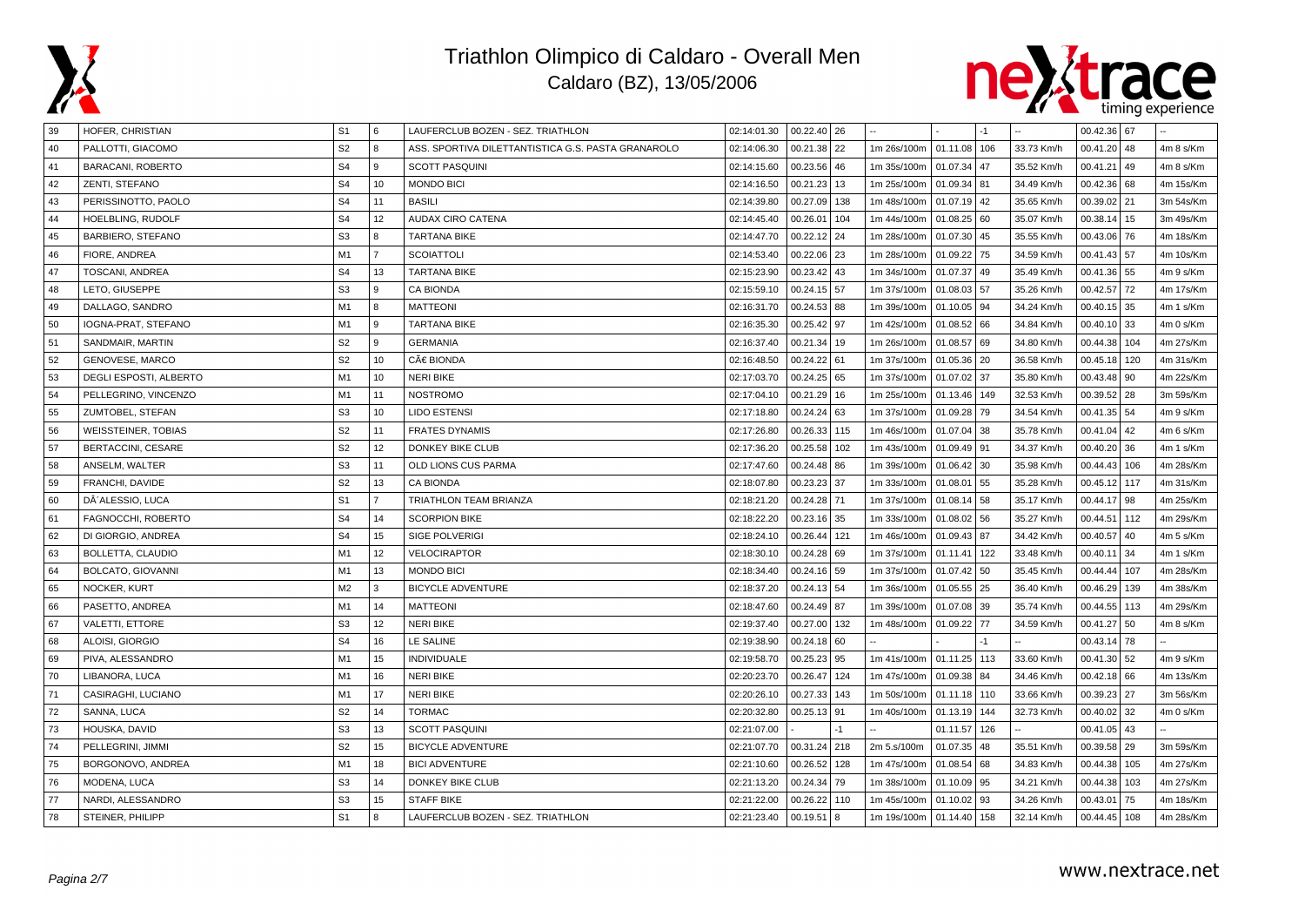



| 39 | HOFER, CHRISTIAN           | S1             | l 6            | LAUFERCLUB BOZEN - SEZ. TRIATHLON                  | 02:14:01.30 | 00.22.40 26                |      |                      |              | -1   |            | 00.42.36 67             |           |
|----|----------------------------|----------------|----------------|----------------------------------------------------|-------------|----------------------------|------|----------------------|--------------|------|------------|-------------------------|-----------|
| 40 | PALLOTTI, GIACOMO          | S <sub>2</sub> | 8              | ASS. SPORTIVA DILETTANTISTICA G.S. PASTA GRANAROLO | 02:14:06.30 | 00.21.38                   | 22   | 1m 26s/100m          | 01.11.08     | 106  | 33.73 Km/h | 00.41.20 48             | 4m 8 s/Km |
| 41 | <b>BARACANI, ROBERTO</b>   | S <sub>4</sub> | 9              | <b>SCOTT PASQUINI</b>                              | 02:14:15.60 | 00.23.56                   | 46   | 1m 35s/100m          | 01.07.34     | 47   | 35.52 Km/h | 00.41.21<br>l 49        | 4m 8 s/Km |
| 42 | ZENTI, STEFANO             | S <sub>4</sub> | 10             | <b>MONDO BICI</b>                                  | 02:14:16.50 | 00.21.23                   | 13   | 1m 25s/100m          | 01.09.34 81  |      | 34.49 Km/h | $00.42.36$ 68           | 4m 15s/Km |
| 43 | PERISSINOTTO, PAOLO        | S <sub>4</sub> | 11             | <b>BASILI</b>                                      | 02:14:39.80 | 00.27.09                   | 138  | 1m 48s/100m          | 01.07.19 42  |      | 35.65 Km/h | 00.39.02 21             | 3m 54s/Km |
| 44 | HOELBLING, RUDOLF          | S <sub>4</sub> | 12             | <b>AUDAX CIRO CATENA</b>                           | 02:14:45.40 | 00.26.01                   | 104  | 1m 44s/100m          | 01.08.25 60  |      | 35.07 Km/h | 00.38.14   15           | 3m 49s/Km |
| 45 | <b>BARBIERO, STEFANO</b>   | S <sub>3</sub> | 8              | <b>TARTANA BIKE</b>                                | 02:14:47.70 | 00.22.12                   | 24   | 1m 28s/100m          | 01.07.30     | 45   | 35.55 Km/h | 00.43.06 76             | 4m 18s/Km |
| 46 | FIORE, ANDREA              | M1             | $\overline{7}$ | <b>SCOIATTOLI</b>                                  | 02:14:53.40 | 00.22.06                   | 23   | 1m 28s/100m          | 01.09.22 75  |      | 34.59 Km/h | 00.41.43 57             | 4m 10s/Km |
| 47 | TOSCANI, ANDREA            | S <sub>4</sub> | 13             | <b>TARTANA BIKE</b>                                | 02:15:23.90 | 00.23.42                   | 43   | 1m 34s/100m          | 01.07.37 49  |      | 35.49 Km/h | 00.41.36 55             | 4m 9 s/Km |
| 48 | LETO, GIUSEPPE             | S <sub>3</sub> | 9              | <b>CA BIONDA</b>                                   | 02:15:59.10 | 00.24.15 57                |      | 1m 37s/100m          | 01.08.03 57  |      | 35.26 Km/h | 00.42.57<br>  72        | 4m 17s/Km |
| 49 | DALLAGO, SANDRO            | M1             | 8              | <b>MATTEONI</b>                                    | 02:16:31.70 | 00.24.53                   | 88   | 1m 39s/100m          | 01.10.05     | 94   | 34.24 Km/h | 00.40.15 35             | 4m 1 s/Km |
| 50 | IOGNA-PRAT, STEFANO        | M <sub>1</sub> | 9              | <b>TARTANA BIKE</b>                                | 02:16:35.30 | 00.25.42                   | 97   | 1m 42s/100m          | 01.08.52 66  |      | 34.84 Km/h | $00.40.10$ 33           | 4m 0 s/Km |
| 51 | SANDMAIR, MARTIN           | S <sub>2</sub> | l 9            | <b>GERMANIA</b>                                    | 02:16:37.40 | 00.21.34                   | 19   | 1m 26s/100m          | 01.08.57 69  |      | 34.80 Km/h | 00.44.38 104            | 4m 27s/Km |
| 52 | GENOVESE, MARCO            | S <sub>2</sub> | 10             | CÀ BIONDA                                          | 02:16:48.50 | 00.24.22                   | 61   | 1m 37s/100m          | 01.05.36 20  |      | 36.58 Km/h | 00.45.18 120            | 4m 31s/Km |
| 53 | DEGLI ESPOSTI, ALBERTO     | M1             | 10             | <b>NERI BIKE</b>                                   | 02:17:03.70 | 00.24.25                   | 65   | 1m 37s/100m          | 01.07.02     | 37   | 35.80 Km/h | 00.43.48 90             | 4m 22s/Km |
| 54 | PELLEGRINO, VINCENZO       | M1             | 11             | <b>NOSTROMO</b>                                    | 02:17:04.10 | 00.21.29                   | 16   | 1m 25s/100m          | 01.13.46     | 149  | 32.53 Km/h | $00.39.52$ 28           | 3m 59s/Km |
| 55 | ZUMTOBEL, STEFAN           | S <sub>3</sub> | 10             | <b>LIDO ESTENSI</b>                                | 02:17:18.80 | 00.24.24 63                |      | 1m 37s/100m          | 01.09.28 79  |      | 34.54 Km/h | 00.41.35 54             | 4m 9 s/Km |
| 56 | <b>WEISSTEINER, TOBIAS</b> | S <sub>2</sub> | 11             | <b>FRATES DYNAMIS</b>                              | 02:17:26.80 | 00.26.33                   | 115  | 1m 46s/100m          | 01.07.04 38  |      | 35.78 Km/h | $00.41.04$ 42           | 4m 6 s/Km |
| 57 | <b>BERTACCINI, CESARE</b>  | S <sub>2</sub> | 12             | <b>DONKEY BIKE CLUB</b>                            | 02:17:36.20 | 00.25.58                   | 102  | 1m 43s/100m          | 01.09.49 91  |      | 34.37 Km/h | 00.40.20 36             | 4m 1 s/Km |
| 58 | ANSELM, WALTER             | S <sub>3</sub> | 11             | OLD LIONS CUS PARMA                                | 02:17:47.60 | 00.24.48                   | 86   | 1m 39s/100m          | 01.06.42     | 30   | 35.98 Km/h | 00.44.43   106          | 4m 28s/Km |
| 59 | FRANCHI, DAVIDE            | S <sub>2</sub> | 13             | <b>CA BIONDA</b>                                   | 02:18:07.80 | 00.23.23                   | 37   | 1m 33s/100m          | 01.08.01 55  |      | 35.28 Km/h | 00.45.12 117            | 4m 31s/Km |
| 60 | DÂ'ALESSIO, LUCA           | S <sub>1</sub> | $\overline{7}$ | TRIATHLON TEAM BRIANZA                             | 02:18:21.20 | 00.24.28                   | 71   | 1m 37s/100m          | 01.08.14 58  |      | 35.17 Km/h | 00.44.17 98             | 4m 25s/Km |
| 61 | FAGNOCCHI, ROBERTO         | S <sub>4</sub> | 14             | <b>SCORPION BIKE</b>                               | 02:18:22.20 | 00.23.16 35                |      | 1m 33s/100m          | 01.08.02     | 56   | 35.27 Km/h | 00.44.51<br>l 112       | 4m 29s/Km |
| 62 | DI GIORGIO, ANDREA         | S <sub>4</sub> | 15             | <b>SIGE POLVERIGI</b>                              | 02:18:24.10 | 00.26.44                   | 121  | 1m 46s/100m          | 01.09.43     | 87   | 34.42 Km/h | 00.40.57<br>l 40        | 4m 5 s/Km |
| 63 | <b>BOLLETTA, CLAUDIO</b>   | M <sub>1</sub> | 12             | <b>VELOCIRAPTOR</b>                                | 02:18:30.10 | 00.24.28                   | 69   | 1m 37s/100m          | 01.11.41     | 122  | 33.48 Km/h | 00.40.11<br>34          | 4m 1 s/Km |
| 64 | <b>BOLCATO, GIOVANNI</b>   | M <sub>1</sub> | 13             | <b>MONDO BICI</b>                                  | 02:18:34.40 | 00.24.16 59                |      | 1m 37s/100m          | 01.07.42 50  |      | 35.45 Km/h | 00.44.44<br>107         | 4m 28s/Km |
| 65 | NOCKER, KURT               | M <sub>2</sub> | 3              | <b>BICYCLE ADVENTURE</b>                           | 02:18:37.20 | 00.24.13                   | 54   | 1m 36s/100m          | 01.05.55 25  |      | 36.40 Km/h | 00.46.29<br>139         | 4m 38s/Km |
| 66 | PASETTO, ANDREA            | M <sub>1</sub> | 14             | <b>MATTEONI</b>                                    | 02:18:47.60 | 00.24.49                   | 87   | 1m 39s/100m          | 01.07.08     | 39   | 35.74 Km/h | 00.44.55<br>113         | 4m 29s/Km |
| 67 | <b>VALETTI, ETTORE</b>     | S <sub>3</sub> | 12             | <b>NERI BIKE</b>                                   | 02:19:37.40 | 00.27.00                   | 132  | 1m 48s/100m          | 01.09.22 77  |      | 34.59 Km/h | $00.41.27$ 50           | 4m 8 s/Km |
| 68 | ALOISI, GIORGIO            | S <sub>4</sub> | 16             | LE SALINE                                          | 02:19:38.90 | $00.24.18$ 60              |      |                      |              | $-1$ |            | 00.43.14 78             |           |
| 69 | PIVA, ALESSANDRO           | M1             | 15             | <b>INDIVIDUALE</b>                                 | 02:19:58.70 | 00.25.23                   | 95   | 1m 41s/100m          | 01.11.25 113 |      | 33.60 Km/h | $00.41.30$ 52           | 4m 9 s/Km |
| 70 | LIBANORA, LUCA             | M1             | 16             | <b>NERI BIKE</b>                                   | 02:20:23.70 | 00.26.47                   | 124  | 1m 47s/100m          | 01.09.38 84  |      | 34.46 Km/h | $00.42.18$ 66           | 4m 13s/Km |
| 71 | CASIRAGHI, LUCIANO         | M <sub>1</sub> | 17             | <b>NERI BIKE</b>                                   | 02:20:26.10 | 00.27.33                   | 143  | 1m 50s/100m          | 01.11.18 110 |      | 33.66 Km/h | 00.39.23 27             | 3m 56s/Km |
| 72 | SANNA, LUCA                | S <sub>2</sub> | 14             | <b>TORMAC</b>                                      | 02:20:32.80 | 00.25.13 91                |      | 1m 40s/100m          | 01.13.19 144 |      | 32.73 Km/h | $00.40.02$ 32           | 4m 0 s/Km |
| 73 | HOUSKA, DAVID              | S <sub>3</sub> | 13             | <b>SCOTT PASQUINI</b>                              | 02:21:07.00 |                            | $-1$ |                      | 01.11.57     | 126  |            | $00.41.05$ 43           |           |
| 74 | PELLEGRINI, JIMMI          | S <sub>2</sub> | 15             | <b>BICYCLE ADVENTURE</b>                           | 02:21:07.70 | 00.31.24                   | 218  | 2m 5.s/100m          | 01.07.35     | 48   | 35.51 Km/h | 00.39.58<br>$\sqrt{29}$ | 3m 59s/Km |
| 75 | BORGONOVO, ANDREA          | M1             | 18             | <b>BICI ADVENTURE</b>                              | 02:21:10.60 | 00.26.52                   | 128  | 1m 47s/100m          | 01.08.54     | 68   | 34.83 Km/h | 00.44.38 105            | 4m 27s/Km |
| 76 | MODENA, LUCA               | S <sub>3</sub> | 14             | DONKEY BIKE CLUB                                   | 02:21:13.20 | 00.24.34                   | 79   | 1m 38s/100m          | 01.10.09 95  |      | 34.21 Km/h | 00.44.38 103            | 4m 27s/Km |
| 77 | NARDI, ALESSANDRO          | S <sub>3</sub> | 15             | <b>STAFF BIKE</b>                                  | 02:21:22.00 | 00.26.22                   | 110  | 1m 45s/100m          | 01.10.02     | 93   | 34.26 Km/h | 00.43.01<br>75          | 4m 18s/Km |
| 78 | <b>STEINER, PHILIPP</b>    | S <sub>1</sub> | l 8            | LAUFERCLUB BOZEN - SEZ. TRIATHLON                  | 02:21:23.40 | 00.19.51<br>$\overline{8}$ |      | 1m 19s/100m 01.14.40 |              | 158  | 32.14 Km/h | 00.44.45   108          | 4m 28s/Km |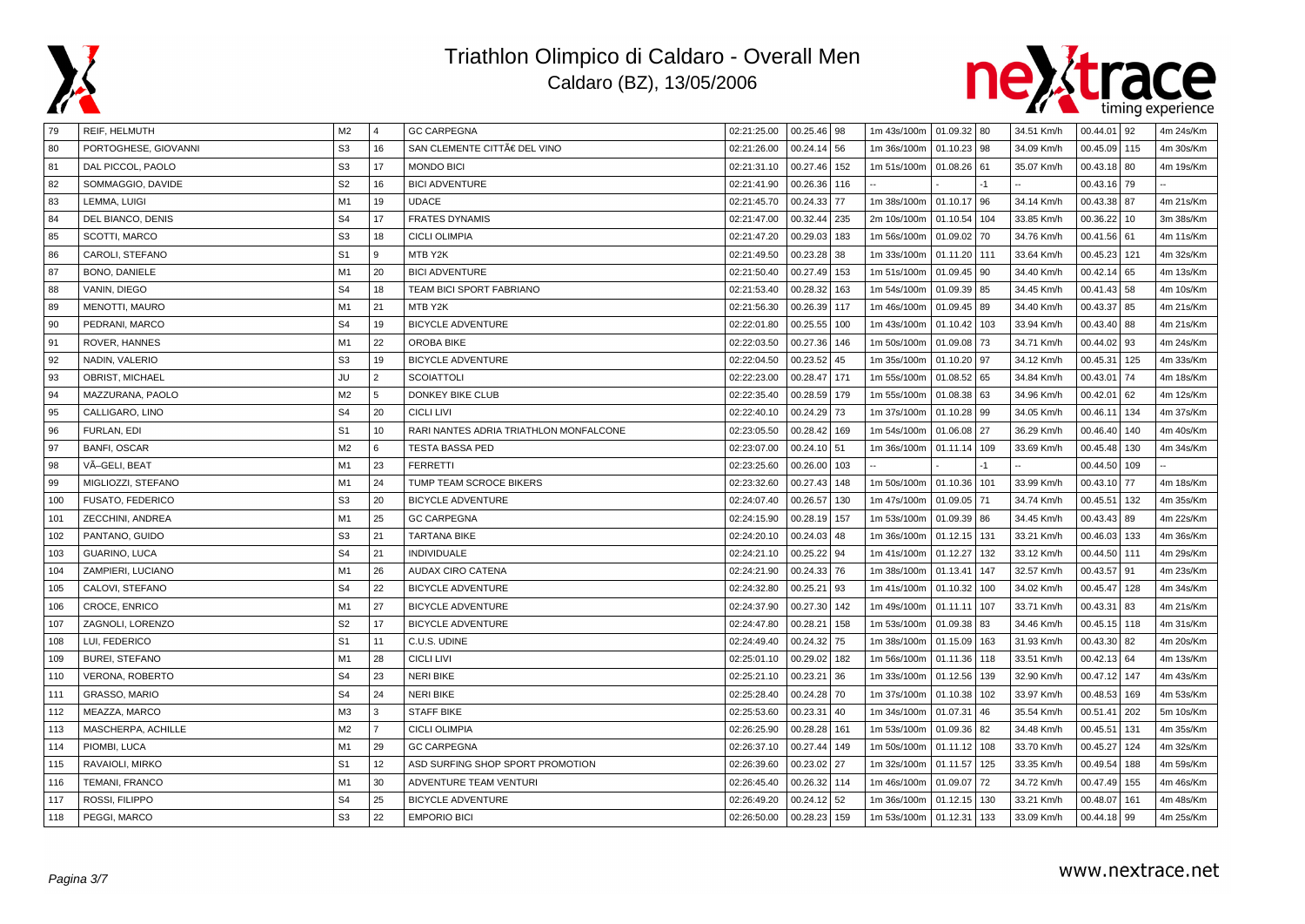



| 79  | <b>REIF, HELMUTH</b>   | M2             | $\overline{4}$ | <b>GC CARPEGNA</b>                     | 02:21:25.00 | $00.25.46$ 98 |     | 1m 43s/100m   01.09.32   80 |              |      | 34.51 Km/h | 00.44.01 | 92   | 4m 24s/Km |
|-----|------------------------|----------------|----------------|----------------------------------------|-------------|---------------|-----|-----------------------------|--------------|------|------------|----------|------|-----------|
| 80  | PORTOGHESE, GIOVANNI   | S <sub>3</sub> | 16             | SAN CLEMENTE CITTÀ DEL VINO            | 02:21:26.00 | 00.24.14 56   |     | 1m 36s/100m                 | 01.10.23 98  |      | 34.09 Km/h | 00.45.09 | 115  | 4m 30s/Km |
| 81  | DAL PICCOL, PAOLO      | S <sub>3</sub> | 17             | <b>MONDO BICI</b>                      | 02:21:31.10 | 00.27.46      | 152 | 1m 51s/100m                 | 01.08.26 61  |      | 35.07 Km/h | 00.43.18 | 80   | 4m 19s/Km |
| 82  | SOMMAGGIO, DAVIDE      | S <sub>2</sub> | 16             | <b>BICI ADVENTURE</b>                  | 02:21:41.90 | 00.26.36      | 116 |                             |              | $-1$ |            | 00.43.16 | 79   |           |
| 83  | LEMMA, LUIGI           | M1             | 19             | <b>UDACE</b>                           | 02:21:45.70 | 00.24.33      | 77  | 1m 38s/100m                 | 01.10.17 96  |      | 34.14 Km/h | 00.43.38 | 87   | 4m 21s/Km |
| 84  | DEL BIANCO, DENIS      | S <sub>4</sub> | 17             | <b>FRATES DYNAMIS</b>                  | 02:21:47.00 | 00.32.44      | 235 | 2m 10s/100m                 | 01.10.54 104 |      | 33.85 Km/h | 00.36.22 | 10   | 3m 38s/Km |
| 85  | SCOTTI, MARCO          | S <sub>3</sub> | 18             | <b>CICLI OLIMPIA</b>                   | 02:21:47.20 | 00.29.03      | 183 | 1m 56s/100m                 | 01.09.02 70  |      | 34.76 Km/h | 00.41.56 | 61   | 4m 11s/Km |
| 86  | CAROLI, STEFANO        | S <sub>1</sub> | 9              | MTB Y2K                                | 02:21:49.50 | 00.23.28      | 38  | 1m 33s/100m                 | 01.11.20 111 |      | 33.64 Km/h | 00.45.23 | 121  | 4m 32s/Km |
| 87  | BONO, DANIELE          | M1             | 20             | <b>BICI ADVENTURE</b>                  | 02:21:50.40 | 00.27.49      | 153 | 1m 51s/100m                 | 01.09.45 90  |      | 34.40 Km/h | 00.42.14 | 65   | 4m 13s/Km |
| 88  | VANIN, DIEGO           | S <sub>4</sub> | 18             | TEAM BICI SPORT FABRIANO               | 02:21:53.40 | 00.28.32      | 163 | 1m 54s/100m                 | 01.09.39 85  |      | 34.45 Km/h | 00.41.43 | 58   | 4m 10s/Km |
| 89  | MENOTTI, MAURO         | M1             | 21             | MTB Y2K                                | 02:21:56.30 | 00.26.39      | 117 | 1m 46s/100m                 | 01.09.45 89  |      | 34.40 Km/h | 00.43.37 | 85   | 4m 21s/Km |
| 90  | PEDRANI, MARCO         | S <sub>4</sub> | 19             | <b>BICYCLE ADVENTURE</b>               | 02:22:01.80 | 00.25.55      | 100 | 1m 43s/100m                 | 01.10.42 103 |      | 33.94 Km/h | 00.43.40 | 88   | 4m 21s/Km |
| 91  | ROVER, HANNES          | M1             | 22             | <b>OROBA BIKE</b>                      | 02:22:03.50 | 00.27.36      | 146 | 1m 50s/100m                 | 01.09.08 73  |      | 34.71 Km/h | 00.44.02 | 93   | 4m 24s/Km |
| 92  | NADIN, VALERIO         | S <sub>3</sub> | 19             | <b>BICYCLE ADVENTURE</b>               | 02:22:04.50 | 00.23.52      | 45  | 1m 35s/100m                 | 01.10.20 97  |      | 34.12 Km/h | 00.45.31 | 125  | 4m 33s/Km |
| 93  | OBRIST, MICHAEL        | JU             | $\overline{2}$ | <b>SCOIATTOLI</b>                      | 02:22:23.00 | 00.28.47      | 171 | 1m 55s/100m                 | 01.08.52 65  |      | 34.84 Km/h | 00.43.01 | 74   | 4m 18s/Km |
| 94  | MAZZURANA, PAOLO       | M2             | 5              | DONKEY BIKE CLUB                       | 02:22:35.40 | 00.28.59      | 179 | 1m 55s/100m                 | 01.08.38 63  |      | 34.96 Km/h | 00.42.01 | 62   | 4m 12s/Km |
| 95  | CALLIGARO, LINO        | S <sub>4</sub> | 20             | <b>CICLI LIVI</b>                      | 02:22:40.10 | 00.24.29      | 73  | 1m 37s/100m                 | 01.10.28 99  |      | 34.05 Km/h | 00.46.11 | 134  | 4m 37s/Km |
| 96  | FURLAN, EDI            | S <sub>1</sub> | 10             | RARI NANTES ADRIA TRIATHLON MONFALCONE | 02:23:05.50 | 00.28.42      | 169 | 1m 54s/100m                 | 01.06.08 27  |      | 36.29 Km/h | 00.46.40 | 140  | 4m 40s/Km |
| 97  | <b>BANFI, OSCAR</b>    | M <sub>2</sub> | 6              | <b>TESTA BASSA PED</b>                 | 02:23:07.00 | 00.24.10      | 51  | 1m 36s/100m                 | 01.11.14 109 |      | 33.69 Km/h | 00.45.48 | 130  | 4m 34s/Km |
| 98  | VÃ-GELI, BEAT          | M1             | 23             | <b>FERRETTI</b>                        | 02:23:25.60 | 00.26.00      | 103 |                             |              |      |            | 00.44.50 | 109  |           |
| 99  | MIGLIOZZI, STEFANO     | M1             | 24             | TUMP TEAM SCROCE BIKERS                | 02:23:32.60 | 00.27.43      | 148 | 1m 50s/100m                 | 01.10.36 101 |      | 33.99 Km/h | 00.43.10 | 77   | 4m 18s/Km |
| 100 | FUSATO, FEDERICO       | S <sub>3</sub> | 20             | <b>BICYCLE ADVENTURE</b>               | 02:24:07.40 | 00.26.57      | 130 | 1m 47s/100m                 | 01.09.05 71  |      | 34.74 Km/h | 00.45.51 | 132  | 4m 35s/Km |
| 101 | ZECCHINI, ANDREA       | M1             | 25             | <b>GC CARPEGNA</b>                     | 02:24:15.90 | 00.28.19      | 157 | 1m 53s/100m                 | 01.09.39 86  |      | 34.45 Km/h | 00.43.43 | 89   | 4m 22s/Km |
| 102 | PANTANO, GUIDO         | S <sub>3</sub> | 21             | <b>TARTANA BIKE</b>                    | 02:24:20.10 | 00.24.03      | 48  | 1m 36s/100m                 | 01.12.15 131 |      | 33.21 Km/h | 00.46.03 | 133  | 4m 36s/Km |
| 103 | GUARINO, LUCA          | S <sub>4</sub> | 21             | <b>INDIVIDUALE</b>                     | 02:24:21.10 | 00.25.22      | 94  | 1m 41s/100m                 | 01.12.27 132 |      | 33.12 Km/h | 00.44.50 | 111  | 4m 29s/Km |
| 104 | ZAMPIERI, LUCIANO      | M1             | 26             | <b>AUDAX CIRO CATENA</b>               | 02:24:21.90 | 00.24.33 76   |     | 1m 38s/100m                 | 01.13.41     | 147  | 32.57 Km/h | 00.43.57 | 91   | 4m 23s/Km |
| 105 | CALOVI, STEFANO        | S <sub>4</sub> | 22             | <b>BICYCLE ADVENTURE</b>               | 02:24:32.80 | 00.25.21      | 93  | 1m 41s/100m                 | 01.10.32     | 100  | 34.02 Km/h | 00.45.47 | 128  | 4m 34s/Km |
| 106 | CROCE, ENRICO          | M1             | 27             | <b>BICYCLE ADVENTURE</b>               | 02:24:37.90 | 00.27.30      | 142 | 1m 49s/100m                 | 01.11.11     | 107  | 33.71 Km/h | 00.43.31 | 83   | 4m 21s/Km |
| 107 | ZAGNOLI, LORENZO       | S <sub>2</sub> | 17             | <b>BICYCLE ADVENTURE</b>               | 02:24:47.80 | 00.28.21      | 158 | 1m 53s/100m                 | 01.09.38 83  |      | 34.46 Km/h | 00.45.15 | 118  | 4m 31s/Km |
| 108 | LUI, FEDERICO          | S <sub>1</sub> | 11             | C.U.S. UDINE                           | 02:24:49.40 | 00.24.32      | 75  | 1m 38s/100m                 | 01.15.09 163 |      | 31.93 Km/h | 00.43.30 | 82   | 4m 20s/Km |
| 109 | <b>BUREI, STEFANO</b>  | M1             | 28             | <b>CICLI LIVI</b>                      | 02:25:01.10 | 00.29.02      | 182 | 1m 56s/100m                 | 01.11.36 118 |      | 33.51 Km/h | 00.42.13 | 64   | 4m 13s/Km |
| 110 | <b>VERONA, ROBERTO</b> | S <sub>4</sub> | 23             | <b>NERI BIKE</b>                       | 02:25:21.10 | 00.23.21      | 36  | 1m 33s/100m                 | 01.12.56     | 139  | 32.90 Km/h | 00.47.12 | 147  | 4m 43s/Km |
| 111 | <b>GRASSO, MARIO</b>   | S <sub>4</sub> | 24             | <b>NERI BIKE</b>                       | 02:25:28.40 | 00.24.28      | 70  | 1m 37s/100m                 | 01.10.38 102 |      | 33.97 Km/h | 00.48.53 | 169  | 4m 53s/Km |
| 112 | MEAZZA, MARCO          | M <sub>3</sub> | 3              | <b>STAFF BIKE</b>                      | 02:25:53.60 | 00.23.31      | 40  | 1m 34s/100m                 | 01.07.31     | 46   | 35.54 Km/h | 00.51.41 | 202  | 5m 10s/Km |
| 113 | MASCHERPA, ACHILLE     | M <sub>2</sub> | $\overline{7}$ | <b>CICLI OLIMPIA</b>                   | 02:26:25.90 | 00.28.28      | 161 | 1m 53s/100m                 | 01.09.36 82  |      | 34.48 Km/h | 00.45.51 | 131  | 4m 35s/Km |
| 114 | PIOMBI, LUCA           | M <sub>1</sub> | 29             | <b>GC CARPEGNA</b>                     | 02:26:37.10 | 00.27.44      | 149 | 1m 50s/100m                 | 01.11.12     | 108  | 33.70 Km/h | 00.45.27 | 124  | 4m 32s/Km |
| 115 | RAVAIOLI, MIRKO        | S <sub>1</sub> | 12             | ASD SURFING SHOP SPORT PROMOTION       | 02:26:39.60 | 00.23.02      | 27  | 1m 32s/100m                 | 01.11.57 125 |      | 33.35 Km/h | 00.49.54 | 188  | 4m 59s/Km |
| 116 | TEMANI, FRANCO         | M1             | 30             | ADVENTURE TEAM VENTURI                 | 02:26:45.40 | 00.26.32      | 114 | 1m 46s/100m                 | 01.09.07 72  |      | 34.72 Km/h | 00.47.49 | 155  | 4m 46s/Km |
| 117 | ROSSI, FILIPPO         | S <sub>4</sub> | 25             | <b>BICYCLE ADVENTURE</b>               | 02:26:49.20 | 00.24.12 52   |     | 1m 36s/100m                 | 01.12.15 130 |      | 33.21 Km/h | 00.48.07 | 161  | 4m 48s/Km |
| 118 | PEGGI, MARCO           | S <sub>3</sub> | 22             | <b>EMPORIO BICI</b>                    | 02:26:50.00 | 00.28.23      | 159 | 1m 53s/100m                 | 01.12.31 133 |      | 33.09 Km/h | 00.44.18 | l 99 | 4m 25s/Km |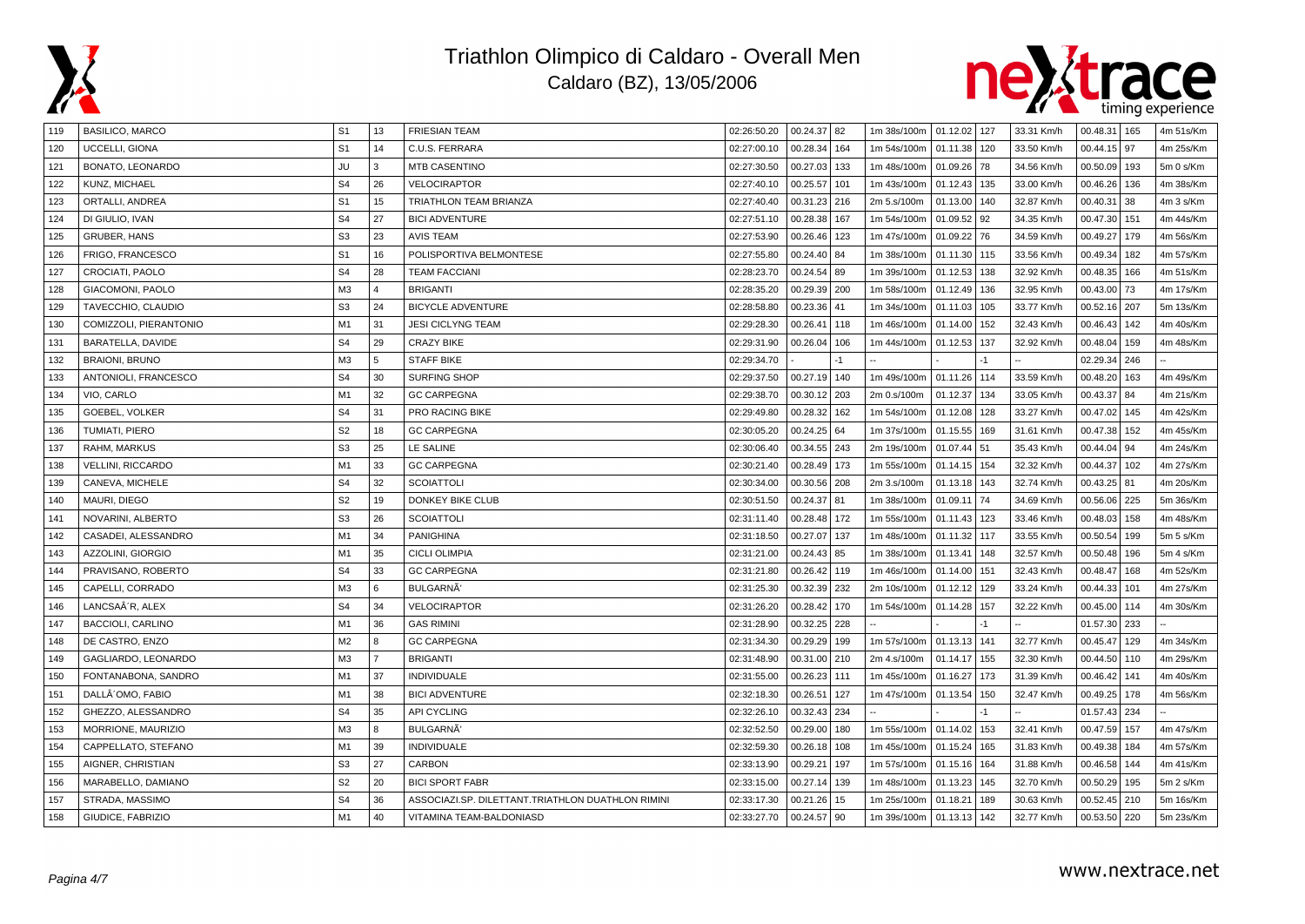



| 119 | <b>BASILICO, MARCO</b>   | S <sub>1</sub> | 13             | <b>FRIESIAN TEAM</b>                              | 02:26:50.20 | 00.24.37 82  |      | 1m 38s/100m | 01.12.02 127 |     | 33.31 Km/h | 00.48.31<br>165   | 4m 51s/Km |
|-----|--------------------------|----------------|----------------|---------------------------------------------------|-------------|--------------|------|-------------|--------------|-----|------------|-------------------|-----------|
| 120 | UCCELLI, GIONA           | S <sub>1</sub> | 14             | C.U.S. FERRARA                                    | 02:27:00.10 | 00.28.34     | 164  | 1m 54s/100m | 01.11.38     | 120 | 33.50 Km/h | 97<br>00.44.15    | 4m 25s/Km |
| 121 | BONATO, LEONARDO         | JU             | 3              | <b>MTB CASENTINO</b>                              | 02:27:30.50 | 00.27.03     | 133  | 1m 48s/100m | 01.09.26 78  |     | 34.56 Km/h | 00.50.09<br>193   | 5m 0 s/Km |
| 122 | KUNZ, MICHAEL            | S <sub>4</sub> | 26             | <b>VELOCIRAPTOR</b>                               | 02:27:40.10 | 00.25.57     | 101  | 1m 43s/100m | 01.12.43     | 135 | 33.00 Km/h | 00.46.26<br>136   | 4m 38s/Km |
| 123 | ORTALLI, ANDREA          | S <sub>1</sub> | 15             | TRIATHLON TEAM BRIANZA                            | 02:27:40.40 | 00.31.23 216 |      | 2m 5.s/100m | 01.13.00     | 140 | 32.87 Km/h | 00.40.31<br>38    | 4m 3 s/Km |
| 124 | DI GIULIO, IVAN          | S <sub>4</sub> | 27             | <b>BICI ADVENTURE</b>                             | 02:27:51.10 | 00.28.38     | 167  | 1m 54s/100m | 01.09.52     | 92  | 34.35 Km/h | 00.47.30<br>151   | 4m 44s/Km |
| 125 | <b>GRUBER, HANS</b>      | S <sub>3</sub> | 23             | <b>AVIS TEAM</b>                                  | 02:27:53.90 | 00.26.46     | 123  | 1m 47s/100m | 01.09.22 76  |     | 34.59 Km/h | 00.49.27<br>179   | 4m 56s/Km |
| 126 | FRIGO, FRANCESCO         | S <sub>1</sub> | 16             | POLISPORTIVA BELMONTESE                           | 02:27:55.80 | 00.24.40 84  |      | 1m 38s/100m | 01.11.30 115 |     | 33.56 Km/h | 00.49.34<br>182   | 4m 57s/Km |
| 127 | CROCIATI, PAOLO          | S <sub>4</sub> | 28             | <b>TEAM FACCIANI</b>                              | 02:28:23.70 | 00.24.54 89  |      | 1m 39s/100m | 01.12.53     | 138 | 32.92 Km/h | 00.48.35<br>166   | 4m 51s/Km |
| 128 | <b>GIACOMONI, PAOLO</b>  | M <sub>3</sub> | $\overline{4}$ | <b>BRIGANTI</b>                                   | 02:28:35.20 | 00.29.39     | 200  | 1m 58s/100m | 01.12.49     | 136 | 32.95 Km/h | 00.43.00<br>73    | 4m 17s/Km |
| 129 | TAVECCHIO, CLAUDIO       | S <sub>3</sub> | 24             | <b>BICYCLE ADVENTURE</b>                          | 02:28:58.80 | 00.23.36     | 41   | 1m 34s/100m | 01.11.03     | 105 | 33.77 Km/h | 00.52.16<br>207   | 5m 13s/Km |
| 130 | COMIZZOLI, PIERANTONIO   | M <sub>1</sub> | 31             | <b>JESI CICLYNG TEAM</b>                          | 02:29:28.30 | 00.26.41     | 118  | 1m 46s/100m | 01.14.00     | 152 | 32.43 Km/h | 00.46.43<br>142   | 4m 40s/Km |
| 131 | BARATELLA, DAVIDE        | S <sub>4</sub> | 29             | <b>CRAZY BIKE</b>                                 | 02:29:31.90 | 00.26.04     | 106  | 1m 44s/100m | 01.12.53     | 137 | 32.92 Km/h | 00.48.04<br>159   | 4m 48s/Km |
| 132 | <b>BRAIONI, BRUNO</b>    | M <sub>3</sub> | 5              | <b>STAFF BIKE</b>                                 | 02:29:34.70 |              | $-1$ |             |              | -1  |            | 02.29.34<br>246   |           |
| 133 | ANTONIOLI, FRANCESCO     | S <sub>4</sub> | 30             | <b>SURFING SHOP</b>                               | 02:29:37.50 | 00.27.19     | 140  | 1m 49s/100m | 01.11.26     | 114 | 33.59 Km/h | 00.48.20<br>163   | 4m 49s/Km |
| 134 | VIO, CARLO               | M <sub>1</sub> | 32             | <b>GC CARPEGNA</b>                                | 02:29:38.70 | 00.30.12     | 203  | 2m 0.s/100m | 01.12.37     | 134 | 33.05 Km/h | 00.43.37<br>84    | 4m 21s/Km |
| 135 | GOEBEL, VOLKER           | S <sub>4</sub> | 31             | PRO RACING BIKE                                   | 02:29:49.80 | 00.28.32     | 162  | 1m 54s/100m | 01.12.08     | 128 | 33.27 Km/h | 00.47.02<br>145   | 4m 42s/Km |
| 136 | TUMIATI, PIERO           | S <sub>2</sub> | 18             | <b>GC CARPEGNA</b>                                | 02:30:05.20 | 00.24.25     | 64   | 1m 37s/100m | 01.15.55     | 169 | 31.61 Km/h | 00.47.38<br>152   | 4m 45s/Km |
| 137 | RAHM. MARKUS             | S <sub>3</sub> | 25             | LE SALINE                                         | 02:30:06.40 | 00.34.55     | 243  | 2m 19s/100m | 01.07.44     | 51  | 35.43 Km/h | 00.44.04<br>94    | 4m 24s/Km |
| 138 | <b>VELLINI, RICCARDO</b> | M1             | 33             | <b>GC CARPEGNA</b>                                | 02:30:21.40 | 00.28.49     | 173  | 1m 55s/100m | 01.14.15     | 154 | 32.32 Km/h | 00.44.37<br>102   | 4m 27s/Km |
| 139 | CANEVA, MICHELE          | S <sub>4</sub> | 32             | <b>SCOIATTOLI</b>                                 | 02:30:34.00 | 00.30.56     | 208  | 2m 3.s/100m | 01.13.18     | 143 | 32.74 Km/h | 00.43.25   81     | 4m 20s/Km |
| 140 | MAURI, DIEGO             | S <sub>2</sub> | 19             | DONKEY BIKE CLUB                                  | 02:30:51.50 | 00.24.37 81  |      | 1m 38s/100m | 01.09.11     | 74  | 34.69 Km/h | 00.56.06<br>225   | 5m 36s/Km |
| 141 | NOVARINI, ALBERTO        | S <sub>3</sub> | 26             | <b>SCOIATTOLI</b>                                 | 02:31:11.40 | 00.28.48 172 |      | 1m 55s/100m | 01.11.43     | 123 | 33.46 Km/h | 00.48.03<br>158   | 4m 48s/Km |
| 142 | CASADEI, ALESSANDRO      | M <sub>1</sub> | 34             | <b>PANIGHINA</b>                                  | 02:31:18.50 | 00.27.07     | 137  | 1m 48s/100m | 01.11.32     | 117 | 33.55 Km/h | 00.50.54<br>199   | 5m 5 s/Km |
| 143 | AZZOLINI, GIORGIO        | M1             | 35             | <b>CICLI OLIMPIA</b>                              | 02:31:21.00 | 00.24.43 85  |      | 1m 38s/100m | 01.13.41     | 148 | 32.57 Km/h | 00.50.48<br>196   | 5m 4 s/Km |
| 144 | PRAVISANO, ROBERTO       | S <sub>4</sub> | 33             | <b>GC CARPEGNA</b>                                | 02:31:21.80 | 00.26.42     | 119  | 1m 46s/100m | 01.14.00     | 151 | 32.43 Km/h | 168<br>00.48.47   | 4m 52s/Km |
| 145 | CAPELLI, CORRADO         | M <sub>3</sub> | 6              | BULGARNA'                                         | 02:31:25.30 | 00.32.39     | 232  | 2m 10s/100m | 01.12.12     | 129 | 33.24 Km/h | 00.44.33<br>101   | 4m 27s/Km |
| 146 | LANCSA´R, ALEX           | S <sub>4</sub> | 34             | VELOCIRAPTOR                                      | 02:31:26.20 | 00.28.42     | 170  | 1m 54s/100m | 01.14.28     | 157 | 32.22 Km/h | 00.45.00<br>114   | 4m 30s/Km |
| 147 | <b>BACCIOLI, CARLINO</b> | M1             | 36             | <b>GAS RIMINI</b>                                 | 02:31:28.90 | 00.32.25     | 228  |             |              |     |            | 01.57.30<br>233   |           |
| 148 | DE CASTRO. ENZO          | M <sub>2</sub> | 8              | <b>GC CARPEGNA</b>                                | 02:31:34.30 | 00.29.29     | 199  | 1m 57s/100m | 01.13.13     | 141 | 32.77 Km/h | 00.45.47<br>129   | 4m 34s/Km |
| 149 | GAGLIARDO, LEONARDO      | M3             | $\overline{7}$ | <b>BRIGANTI</b>                                   | 02:31:48.90 | 00.31.00     | 210  | 2m 4.s/100m | 01.14.17     | 155 | 32.30 Km/h | 00.44.50<br>110   | 4m 29s/Km |
| 150 | FONTANABONA, SANDRO      | M <sub>1</sub> | 37             | <b>INDIVIDUALE</b>                                | 02:31:55.00 | 00.26.23     | 111  | 1m 45s/100m | 01.16.27     | 173 | 31.39 Km/h | 00.46.42<br>141   | 4m 40s/Km |
| 151 | DALLÂ OMO, FABIO         | M <sub>1</sub> | 38             | <b>BICI ADVENTURE</b>                             | 02:32:18.30 | 00.26.51     | 127  | 1m 47s/100m | 01.13.54     | 150 | 32.47 Km/h | 00.49.25<br>  178 | 4m 56s/Km |
| 152 | GHEZZO, ALESSANDRO       | S <sub>4</sub> | 35             | <b>API CYCLING</b>                                | 02:32:26.10 | 00.32.43     | 234  |             |              |     |            | 01.57.43<br>  234 |           |
| 153 | MORRIONE, MAURIZIO       | M <sub>3</sub> | 8              | <b>BULGARNA</b>                                   | 02:32:52.50 | 00.29.00     | 180  | 1m 55s/100m | 01.14.02     | 153 | 32.41 Km/h | 00.47.59<br>157   | 4m 47s/Km |
| 154 | CAPPELLATO, STEFANO      | M <sub>1</sub> | 39             | <b>INDIVIDUALE</b>                                | 02:32:59.30 | 00.26.18     | 108  | 1m 45s/100m | 01.15.24     | 165 | 31.83 Km/h | 00.49.38<br>184   | 4m 57s/Km |
| 155 | AIGNER, CHRISTIAN        | S <sub>3</sub> | 27             | <b>CARBON</b>                                     | 02:33:13.90 | 00.29.21     | 197  | 1m 57s/100m | 01.15.16     | 164 | 31.88 Km/h | 00.46.58<br>144   | 4m 41s/Km |
| 156 | MARABELLO, DAMIANO       | S <sub>2</sub> | 20             | <b>BICI SPORT FABR</b>                            | 02:33:15.00 | 00.27.14     | 139  | 1m 48s/100m | 01.13.23     | 145 | 32.70 Km/h | 00.50.29<br>195   | 5m 2 s/Km |
| 157 | STRADA, MASSIMO          | S <sub>4</sub> | 36             | ASSOCIAZI.SP. DILETTANT.TRIATHLON DUATHLON RIMINI | 02:33:17.30 | 00.21.26     | 15   | 1m 25s/100m | 01.18.21     | 189 | 30.63 Km/h | 00.52.45<br>210   | 5m 16s/Km |
| 158 | GIUDICE, FABRIZIO        | M <sub>1</sub> | 40             | VITAMINA TEAM-BALDONIASD                          | 02:33:27.70 | 00.24.57 90  |      | 1m 39s/100m | 01.13.13     | 142 | 32.77 Km/h | $00.53.50$   220  | 5m 23s/Km |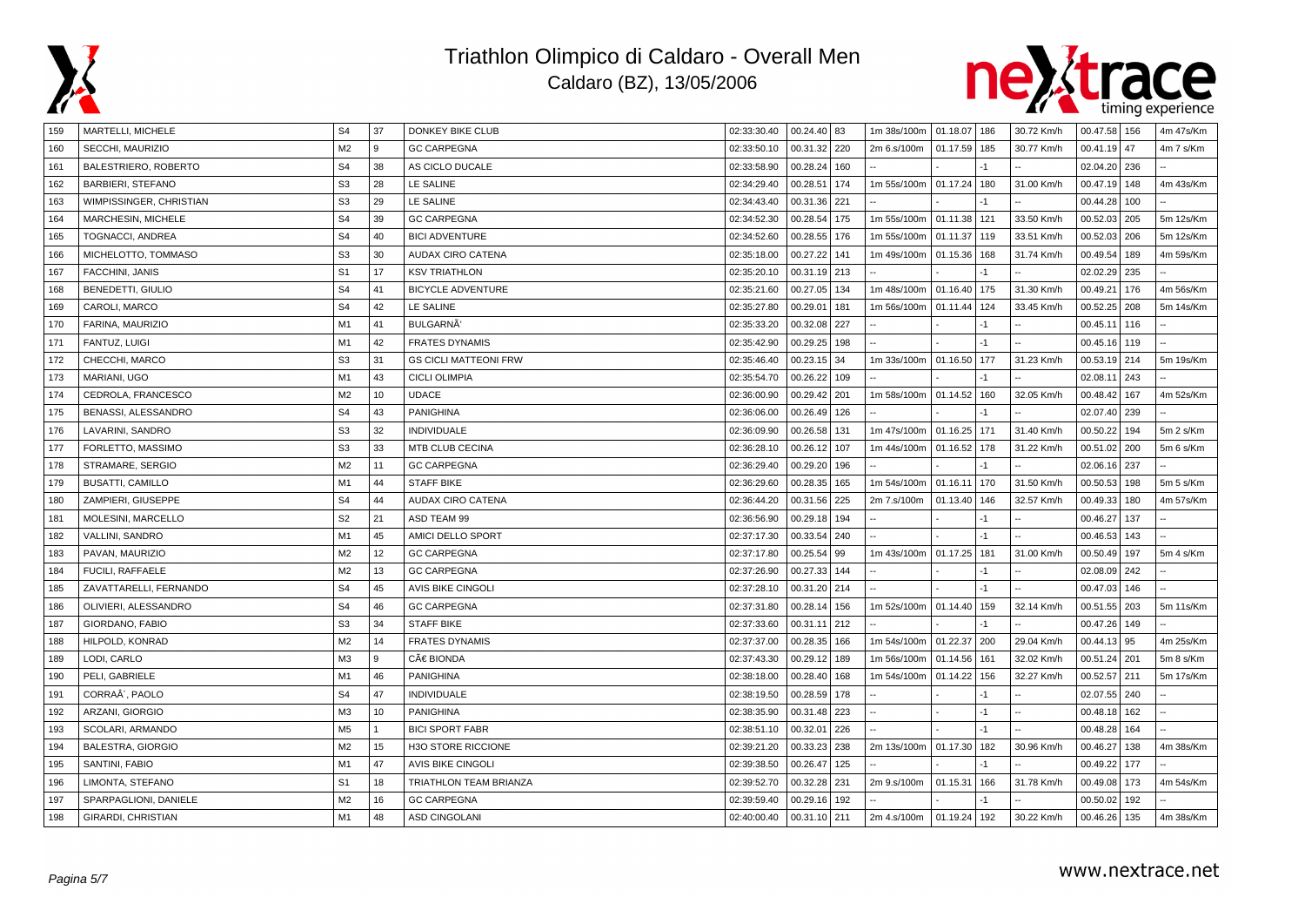



| 159 | MARTELLI, MICHELE           | S <sub>4</sub> | 37 | DONKEY BIKE CLUB             | 02:33:30.40 | 00.24.40 83     | 1m 38s/100m   01.18.07   186 |              |      | 30.72 Km/h | 00.47.58 156   |     | 4m 47s/Km |
|-----|-----------------------------|----------------|----|------------------------------|-------------|-----------------|------------------------------|--------------|------|------------|----------------|-----|-----------|
| 160 | SECCHI, MAURIZIO            | M <sub>2</sub> | 9  | <b>GC CARPEGNA</b>           | 02:33:50.10 | 00.31.32 220    | 2m 6.s/100m                  | 01.17.59 185 |      | 30.77 Km/h | $00.41.19$ 47  |     | 4m 7 s/Km |
| 161 | BALESTRIERO, ROBERTO        | S <sub>4</sub> | 38 | AS CICLO DUCALE              | 02:33:58.90 | 00.28.24<br>160 |                              |              |      |            | 02.04.20 236   |     |           |
| 162 | <b>BARBIERI, STEFANO</b>    | S <sub>3</sub> | 28 | LE SALINE                    | 02:34:29.40 | 00.28.51<br>174 | 1m 55s/100m                  | 01.17.24     | 180  | 31.00 Km/h | 00.47.19       | 148 | 4m 43s/Km |
| 163 | WIMPISSINGER, CHRISTIAN     | S <sub>3</sub> | 29 | LE SALINE                    | 02:34:43.40 | 00.31.36<br>221 |                              |              |      |            | 00.44.28       | 100 |           |
| 164 | MARCHESIN, MICHELE          | S <sub>4</sub> | 39 | <b>GC CARPEGNA</b>           | 02:34:52.30 | 00.28.54<br>175 | 1m 55s/100m                  | 01.11.38 121 |      | 33.50 Km/h | 00.52.03   205 |     | 5m 12s/Km |
| 165 | TOGNACCI, ANDREA            | S <sub>4</sub> | 40 | <b>BICI ADVENTURE</b>        | 02:34:52.60 | 00.28.55<br>176 | 1m 55s/100m                  | 01.11.37 119 |      | 33.51 Km/h | 00.52.03       | 206 | 5m 12s/Km |
| 166 | MICHELOTTO, TOMMASO         | S <sub>3</sub> | 30 | <b>AUDAX CIRO CATENA</b>     | 02:35:18.00 | 00.27.22<br>141 | 1m 49s/100m                  | 01.15.36 168 |      | 31.74 Km/h | 00.49.54       | 189 | 4m 59s/Km |
| 167 | FACCHINI, JANIS             | S <sub>1</sub> | 17 | <b>KSV TRIATHLON</b>         | 02:35:20.10 | 00.31.19<br>213 |                              |              |      |            | 02.02.29       | 235 |           |
| 168 | <b>BENEDETTI, GIULIO</b>    | S <sub>4</sub> | 41 | <b>BICYCLE ADVENTURE</b>     | 02:35:21.60 | 00.27.05<br>134 | 1m 48s/100m                  | 01.16.40 175 |      | 31.30 Km/h | 00.49.21       | 176 | 4m 56s/Km |
| 169 | CAROLI, MARCO               | S <sub>4</sub> | 42 | LE SALINE                    | 02:35:27.80 | 00.29.01<br>181 | 1m 56s/100m                  | 01.11.44 124 |      | 33.45 Km/h | 00.52.25       | 208 | 5m 14s/Km |
| 170 | FARINA, MAURIZIO            | M1             | 41 | BULGARNA'                    | 02:35:33.20 | 00.32.08<br>227 |                              |              |      |            | 00.45.11       | 116 |           |
| 171 | FANTUZ, LUIGI               | M1             | 42 | <b>FRATES DYNAMIS</b>        | 02:35:42.90 | 00.29.25<br>198 |                              |              |      |            | 00.45.16 119   |     |           |
| 172 | CHECCHI, MARCO              | S <sub>3</sub> | 31 | <b>GS CICLI MATTEONI FRW</b> | 02:35:46.40 | 00.23.15<br>34  | 1m 33s/100m                  | 01.16.50 177 |      | 31.23 Km/h | 00.53.19 214   |     | 5m 19s/Km |
| 173 | MARIANI, UGO                | M1             | 43 | <b>CICLI OLIMPIA</b>         | 02:35:54.70 | 00.26.22<br>109 |                              |              |      |            | 02.08.11       | 243 |           |
| 174 | CEDROLA, FRANCESCO          | M <sub>2</sub> | 10 | <b>UDACE</b>                 | 02:36:00.90 | 00.29.42<br>201 | 1m 58s/100m                  | 01.14.52 160 |      | 32.05 Km/h | 00.48.42       | 167 | 4m 52s/Km |
| 175 | BENASSI, ALESSANDRO         | S <sub>4</sub> | 43 | <b>PANIGHINA</b>             | 02:36:06.00 | 00.26.49<br>126 |                              |              |      |            | 02.07.40 239   |     |           |
| 176 | LAVARINI, SANDRO            | S <sub>3</sub> | 32 | <b>INDIVIDUALE</b>           | 02:36:09.90 | 00.26.58<br>131 | 1m 47s/100m                  | 01.16.25 171 |      | 31.40 Km/h | 00.50.22       | 194 | 5m 2 s/Km |
| 177 | FORLETTO, MASSIMO           | S <sub>3</sub> | 33 | MTB CLUB CECINA              | 02:36:28.10 | 00.26.12<br>107 | 1m 44s/100m                  | 01.16.52 178 |      | 31.22 Km/h | 00.51.02       | 200 | 5m 6 s/Km |
| 178 | STRAMARE, SERGIO            | M <sub>2</sub> | 11 | <b>GC CARPEGNA</b>           | 02:36:29.40 | 00.29.20<br>196 |                              |              | $-1$ |            | 02.06.16 237   |     |           |
| 179 | <b>BUSATTI, CAMILLO</b>     | M1             | 44 | <b>STAFF BIKE</b>            | 02:36:29.60 | 00.28.35<br>165 | 1m 54s/100m                  | 01.16.11     | 170  | 31.50 Km/h | 00.50.53       | 198 | 5m 5 s/Km |
| 180 | ZAMPIERI, GIUSEPPE          | S <sub>4</sub> | 44 | AUDAX CIRO CATENA            | 02:36:44.20 | 00.31.56<br>225 | 2m 7.s/100m                  | 01.13.40 146 |      | 32.57 Km/h | 00.49.33   180 |     | 4m 57s/Km |
| 181 | MOLESINI, MARCELLO          | S <sub>2</sub> | 21 | ASD TEAM 99                  | 02:36:56.90 | 00.29.18<br>194 |                              |              | $-1$ |            | 00.46.27       | 137 |           |
| 182 | VALLINI, SANDRO             | M1             | 45 | AMICI DELLO SPORT            | 02:37:17.30 | 00.33.54<br>240 |                              |              | $-1$ |            | 00.46.53       | 143 |           |
| 183 | PAVAN, MAURIZIO             | M <sub>2</sub> | 12 | <b>GC CARPEGNA</b>           | 02:37:17.80 | 00.25.54<br>99  | 1m 43s/100m                  | 01.17.25 181 |      | 31.00 Km/h | 00.50.49   197 |     | 5m 4 s/Km |
| 184 | FUCILI, RAFFAELE            | M <sub>2</sub> | 13 | <b>GC CARPEGNA</b>           | 02:37:26.90 | 00.27.33<br>144 |                              |              | $-1$ |            | 02.08.09 242   |     |           |
| 185 | ZAVATTARELLI, FERNANDO      | S <sub>4</sub> | 45 | <b>AVIS BIKE CINGOLI</b>     | 02:37:28.10 | 00.31.20<br>214 |                              |              | $-1$ |            | 00.47.03       | 146 |           |
| 186 | OLIVIERI, ALESSANDRO        | S <sub>4</sub> | 46 | <b>GC CARPEGNA</b>           | 02:37:31.80 | 00.28.14<br>156 | 1m 52s/100m                  | 01.14.40 159 |      | 32.14 Km/h | 00.51.55       | 203 | 5m 11s/Km |
| 187 | GIORDANO, FABIO             | S <sub>3</sub> | 34 | <b>STAFF BIKE</b>            | 02:37:33.60 | 00.31.11<br>212 |                              |              |      |            | 00.47.26 149   |     |           |
| 188 | HILPOLD, KONRAD             | M <sub>2</sub> | 14 | <b>FRATES DYNAMIS</b>        | 02:37:37.00 | 00.28.35<br>166 | 1m 54s/100m                  | 01.22.37 200 |      | 29.04 Km/h | $00.44.13$ 95  |     | 4m 25s/Km |
| 189 | LODI, CARLO                 | M <sub>3</sub> | 9  | CÀ BIONDA                    | 02:37:43.30 | 00.29.12<br>189 | 1m 56s/100m                  | 01.14.56 161 |      | 32.02 Km/h | 00.51.24 201   |     | 5m 8 s/Km |
| 190 | PELI, GABRIELE              | M1             | 46 | <b>PANIGHINA</b>             | 02:38:18.00 | 00.28.40<br>168 | 1m 54s/100m                  | 01.14.22 156 |      | 32.27 Km/h | 00.52.57       | 211 | 5m 17s/Km |
| 191 | CORRAÂ <sup>'</sup> , PAOLO | S <sub>4</sub> | 47 | INDIVIDUALE                  | 02:38:19.50 | 00.28.59<br>178 |                              |              |      |            | 02.07.55 240   |     |           |
| 192 | ARZANI, GIORGIO             | M <sub>3</sub> | 10 | PANIGHINA                    | 02:38:35.90 | 00.31.48<br>223 |                              |              | $-1$ |            | $00.48.18$ 162 |     |           |
| 193 | SCOLARI, ARMANDO            | M <sub>5</sub> |    | <b>BICI SPORT FABR</b>       | 02:38:51.10 | 00.32.01<br>226 |                              |              | $-1$ |            | 00.48.28       | 164 |           |
| 194 | <b>BALESTRA, GIORGIO</b>    | M <sub>2</sub> | 15 | <b>H3O STORE RICCIONE</b>    | 02:39:21.20 | 00.33.23<br>238 | 2m 13s/100m                  | 01.17.30     | 182  | 30.96 Km/h | 00.46.27       | 138 | 4m 38s/Km |
| 195 | SANTINI, FABIO              | M1             | 47 | AVIS BIKE CINGOLI            | 02:39:38.50 | 00.26.47<br>125 |                              |              |      |            | 00.49.22       | 177 |           |
| 196 | LIMONTA, STEFANO            | S <sub>1</sub> | 18 | TRIATHLON TEAM BRIANZA       | 02:39:52.70 | 00.32.28<br>231 | 2m 9.s/100m                  | 01.15.31     | 166  | 31.78 Km/h | 00.49.08 173   |     | 4m 54s/Km |
| 197 | SPARPAGLIONI, DANIELE       | M <sub>2</sub> | 16 | <b>GC CARPEGNA</b>           | 02:39:59.40 | 00.29.16<br>192 |                              |              | $-1$ |            | 00.50.02       | 192 |           |
| 198 | GIRARDI, CHRISTIAN          | M1             | 48 | <b>ASD CINGOLANI</b>         | 02:40:00.40 | 00.31.10 211    | 2m 4.s/100m 01.19.24 192     |              |      | 30.22 Km/h | 00.46.26 135   |     | 4m 38s/Km |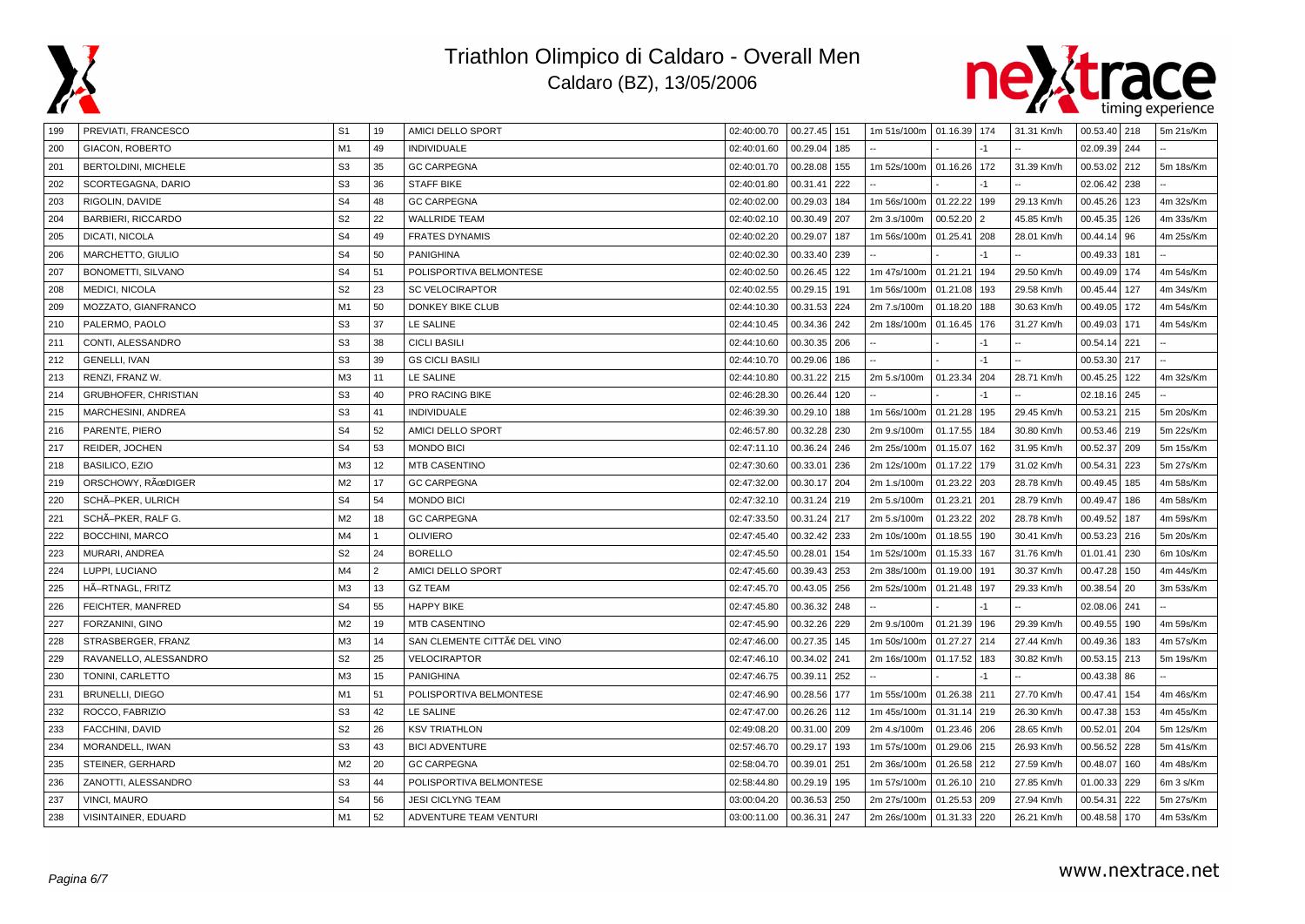



| 199 | PREVIATI, FRANCESCO         | S <sub>1</sub> | 19             | AMICI DELLO SPORT           | 02:40:00.70 | $\mid$ 00.27.45 $\mid$ 151 |     | 1m 51s/100m   01.16.39   174 |              |                | 31.31 Km/h | 00.53.40 218     |     | 5m 21s/Km |
|-----|-----------------------------|----------------|----------------|-----------------------------|-------------|----------------------------|-----|------------------------------|--------------|----------------|------------|------------------|-----|-----------|
| 200 | GIACON, ROBERTO             | M1             | 49             | <b>INDIVIDUALE</b>          | 02:40:01.60 | 00.29.04 185               |     |                              |              |                |            | 02.09.39 244     |     |           |
| 201 | BERTOLDINI, MICHELE         | S <sub>3</sub> | 35             | <b>GC CARPEGNA</b>          | 02:40:01.70 | 00.28.08                   | 155 | 1m 52s/100m                  | 01.16.26     | 172            | 31.39 Km/h | 00.53.02         | 212 | 5m 18s/Km |
| 202 | SCORTEGAGNA, DARIO          | S <sub>3</sub> | 36             | <b>STAFF BIKE</b>           | 02:40:01.80 | 00.31.41                   | 222 |                              |              |                |            | 02.06.42         | 238 |           |
| 203 | RIGOLIN, DAVIDE             | S <sub>4</sub> | 48             | <b>GC CARPEGNA</b>          | 02:40:02.00 | 00.29.03                   | 184 | 1m 56s/100m                  | 01.22.22     | 199            | 29.13 Km/h | 00.45.26         | 123 | 4m 32s/Km |
| 204 | <b>BARBIERI, RICCARDO</b>   | S <sub>2</sub> | 22             | <b>WALLRIDE TEAM</b>        | 02:40:02.10 | 00.30.49 207               |     | 2m 3.s/100m                  | 00.52.20     | $\overline{2}$ | 45.85 Km/h | 00.45.35 126     |     | 4m 33s/Km |
| 205 | DICATI, NICOLA              | S <sub>4</sub> | 49             | <b>FRATES DYNAMIS</b>       | 02:40:02.20 | 00.29.07                   | 187 | 1m 56s/100m                  | 01.25.41     | 208            | 28.01 Km/h | $00.44.14$ 96    |     | 4m 25s/Km |
| 206 | MARCHETTO, GIULIO           | S <sub>4</sub> | 50             | PANIGHINA                   | 02:40:02.30 | 00.33.40 239               |     |                              |              |                |            | 00.49.33 181     |     |           |
| 207 | BONOMETTI, SILVANO          | S <sub>4</sub> | 51             | POLISPORTIVA BELMONTESE     | 02:40:02.50 | 00.26.45 122               |     | 1m 47s/100m                  | 01.21.21     | 194            | 29.50 Km/h | 00.49.09 174     |     | 4m 54s/Km |
| 208 | MEDICI, NICOLA              | S <sub>2</sub> | 23             | <b>SC VELOCIRAPTOR</b>      | 02:40:02.55 | 00.29.15 191               |     | 1m 56s/100m                  | 01.21.08     | 193            | 29.58 Km/h | 00.45.44         | 127 | 4m 34s/Km |
| 209 | MOZZATO, GIANFRANCO         | M1             | 50             | <b>DONKEY BIKE CLUB</b>     | 02:44:10.30 | 00.31.53 224               |     | 2m 7.s/100m                  | 01.18.20     | 188            | 30.63 Km/h | 00.49.05         | 172 | 4m 54s/Km |
| 210 | PALERMO, PAOLO              | S <sub>3</sub> | 37             | LE SALINE                   | 02:44:10.45 | 00.34.36 242               |     | 2m 18s/100m                  | 01.16.45     | 176            | 31.27 Km/h | 00.49.03         | 171 | 4m 54s/Km |
| 211 | CONTI, ALESSANDRO           | S <sub>3</sub> | 38             | <b>CICLI BASILI</b>         | 02:44:10.60 | 00.30.35   206             |     |                              |              |                |            | 00.54.14 221     |     |           |
| 212 | <b>GENELLI, IVAN</b>        | S <sub>3</sub> | 39             | <b>GS CICLI BASILI</b>      | 02:44:10.70 | 00.29.06 186               |     |                              |              | -1             |            | 00.53.30 217     |     |           |
| 213 | RENZI, FRANZ W.             | M <sub>3</sub> | 11             | LE SALINE                   | 02:44:10.80 | 00.31.22 215               |     | 2m 5.s/100m                  | 01.23.34     | 204            | 28.71 Km/h | 00.45.25   122   |     | 4m 32s/Km |
| 214 | <b>GRUBHOFER, CHRISTIAN</b> | S <sub>3</sub> | 40             | PRO RACING BIKE             | 02:46:28.30 | 00.26.44                   | 120 |                              |              |                |            | 02.18.16 245     |     |           |
| 215 | MARCHESINI, ANDREA          | S <sub>3</sub> | 41             | <b>INDIVIDUALE</b>          | 02:46:39.30 | 00.29.10 188               |     | 1m 56s/100m                  | 01.21.28     | 195            | 29.45 Km/h | 00.53.21 215     |     | 5m 20s/Km |
| 216 | PARENTE, PIERO              | S <sub>4</sub> | 52             | AMICI DELLO SPORT           | 02:46:57.80 | 00.32.28 230               |     | 2m 9.s/100m                  | 01.17.55     | 184            | 30.80 Km/h | 00.53.46 219     |     | 5m 22s/Km |
| 217 | REIDER, JOCHEN              | S <sub>4</sub> | 53             | <b>MONDO BICI</b>           | 02:47:11.10 | 00.36.24 246               |     | 2m 25s/100m                  | 01.15.07     | 162            | 31.95 Km/h | 00.52.37         | 209 | 5m 15s/Km |
| 218 | <b>BASILICO, EZIO</b>       | M <sub>3</sub> | 12             | <b>MTB CASENTINO</b>        | 02:47:30.60 | 00.33.01                   | 236 | 2m 12s/100m                  | 01.17.22     | 179            | 31.02 Km/h | 00.54.31         | 223 | 5m 27s/Km |
| 219 | ORSCHOWY, RœDIGER           | M <sub>2</sub> | 17             | <b>GC CARPEGNA</b>          | 02:47:32.00 | 00.30.17 204               |     | 2m 1.s/100m                  | 01.23.22     | 203            | 28.78 Km/h | 00.49.45         | 185 | 4m 58s/Km |
| 220 | SCHÃ-PKER, ULRICH           | S <sub>4</sub> | 54             | <b>MONDO BICI</b>           | 02:47:32.10 | 00.31.24 219               |     | 2m 5.s/100m                  | 01.23.21     | 201            | 28.79 Km/h | 00.49.47         | 186 | 4m 58s/Km |
| 221 | SCHÃ-PKER, RALF G.          | M <sub>2</sub> | 18             | <b>GC CARPEGNA</b>          | 02:47:33.50 | 00.31.24 217               |     | 2m 5.s/100m                  | 01.23.22     | 202            | 28.78 Km/h | 00.49.52         | 187 | 4m 59s/Km |
| 222 | <b>BOCCHINI, MARCO</b>      | M4             | $\mathbf{1}$   | <b>OLIVIERO</b>             | 02:47:45.40 | 00.32.42 233               |     | 2m 10s/100m                  | 01.18.55     | 190            | 30.41 Km/h | 00.53.23 216     |     | 5m 20s/Km |
| 223 | MURARI, ANDREA              | S <sub>2</sub> | 24             | <b>BORELLO</b>              | 02:47:45.50 | 00.28.01                   | 154 | 1m 52s/100m                  | 01.15.33     | 167            | 31.76 Km/h | 01.01.41         | 230 | 6m 10s/Km |
| 224 | LUPPI, LUCIANO              | M4             | $\overline{2}$ | AMICI DELLO SPORT           | 02:47:45.60 | 00.39.43 253               |     | 2m 38s/100m                  | 01.19.00     | 191            | 30.37 Km/h | 00.47.28         | 150 | 4m 44s/Km |
| 225 | HÃ-RTNAGL, FRITZ            | M <sub>3</sub> | 13             | <b>GZ TEAM</b>              | 02:47:45.70 | 00.43.05 256               |     | 2m 52s/100m                  | 01.21.48     | 197            | 29.33 Km/h | 00.38.54         | 20  | 3m 53s/Km |
| 226 | FEICHTER, MANFRED           | S <sub>4</sub> | 55             | <b>HAPPY BIKE</b>           | 02:47:45.80 | 00.36.32 248               |     |                              |              |                |            | 02.08.06 241     |     |           |
| 227 | FORZANINI, GINO             | M <sub>2</sub> | 19             | <b>MTB CASENTINO</b>        | 02:47:45.90 | 00.32.26                   | 229 | 2m 9.s/100m                  | 01.21.39     | 196            | 29.39 Km/h | 00.49.55         | 190 | 4m 59s/Km |
| 228 | STRASBERGER, FRANZ          | M <sub>3</sub> | 14             | SAN CLEMENTE CITTÀ DEL VINO | 02:47:46.00 | 00.27.35 145               |     | 1m 50s/100m                  | 01.27.27     | 214            | 27.44 Km/h | 00.49.36   183   |     | 4m 57s/Km |
| 229 | RAVANELLO, ALESSANDRO       | S <sub>2</sub> | 25             | VELOCIRAPTOR                | 02:47:46.10 | 00.34.02 241               |     | 2m 16s/100m                  | 01.17.52     | 183            | 30.82 Km/h | $00.53.15$ 213   |     | 5m 19s/Km |
| 230 | TONINI, CARLETTO            | M <sub>3</sub> | 15             | PANIGHINA                   | 02:47:46.75 | 00.39.11 252               |     |                              |              |                |            | $00.43.38$ 86    |     |           |
| 231 | <b>BRUNELLI, DIEGO</b>      | M1             | 51             | POLISPORTIVA BELMONTESE     | 02:47:46.90 | 00.28.56 177               |     | 1m 55s/100m                  | 01.26.38     | 211            | 27.70 Km/h | 00.47.41         | 154 | 4m 46s/Km |
| 232 | ROCCO, FABRIZIO             | S <sub>3</sub> | 42             | LE SALINE                   | 02:47:47.00 | 00.26.26 112               |     | 1m 45s/100m                  | 01.31.14 219 |                | 26.30 Km/h | 00.47.38 153     |     | 4m 45s/Km |
| 233 | FACCHINI, DAVID             | S <sub>2</sub> | 26             | <b>KSV TRIATHLON</b>        | 02:49:08.20 | 00.31.00 209               |     | 2m 4.s/100m                  | 01.23.46     | 206            | 28.65 Km/h | 00.52.01         | 204 | 5m 12s/Km |
| 234 | MORANDELL, IWAN             | S <sub>3</sub> | 43             | <b>BICI ADVENTURE</b>       | 02:57:46.70 | 00.29.17 193               |     | 1m 57s/100m                  | 01.29.06     | 215            | 26.93 Km/h | 00.56.52         | 228 | 5m 41s/Km |
| 235 | STEINER, GERHARD            | M <sub>2</sub> | 20             | <b>GC CARPEGNA</b>          | 02:58:04.70 | 00.39.01                   | 251 | 2m 36s/100m                  | 01.26.58     | 212            | 27.59 Km/h | 00.48.07         | 160 | 4m 48s/Km |
| 236 | ZANOTTI, ALESSANDRO         | S <sub>3</sub> | 44             | POLISPORTIVA BELMONTESE     | 02:58:44.80 | 00.29.19 195               |     | 1m 57s/100m                  | 01.26.10     | 210            | 27.85 Km/h | $01.00.33$   229 |     | 6m 3 s/Km |
| 237 | <b>VINCI, MAURO</b>         | S <sub>4</sub> | 56             | <b>JESI CICLYNG TEAM</b>    | 03:00:04.20 | 00.36.53 250               |     | 2m 27s/100m                  | 01.25.53     | 209            | 27.94 Km/h | 00.54.31         | 222 | 5m 27s/Km |
| 238 | VISINTAINER, EDUARD         | M1             | 52             | ADVENTURE TEAM VENTURI      | 03:00:11.00 | 00.36.31 247               |     | 2m 26s/100m                  | 01.31.33     | 220            | 26.21 Km/h | 00.48.58 170     |     | 4m 53s/Km |